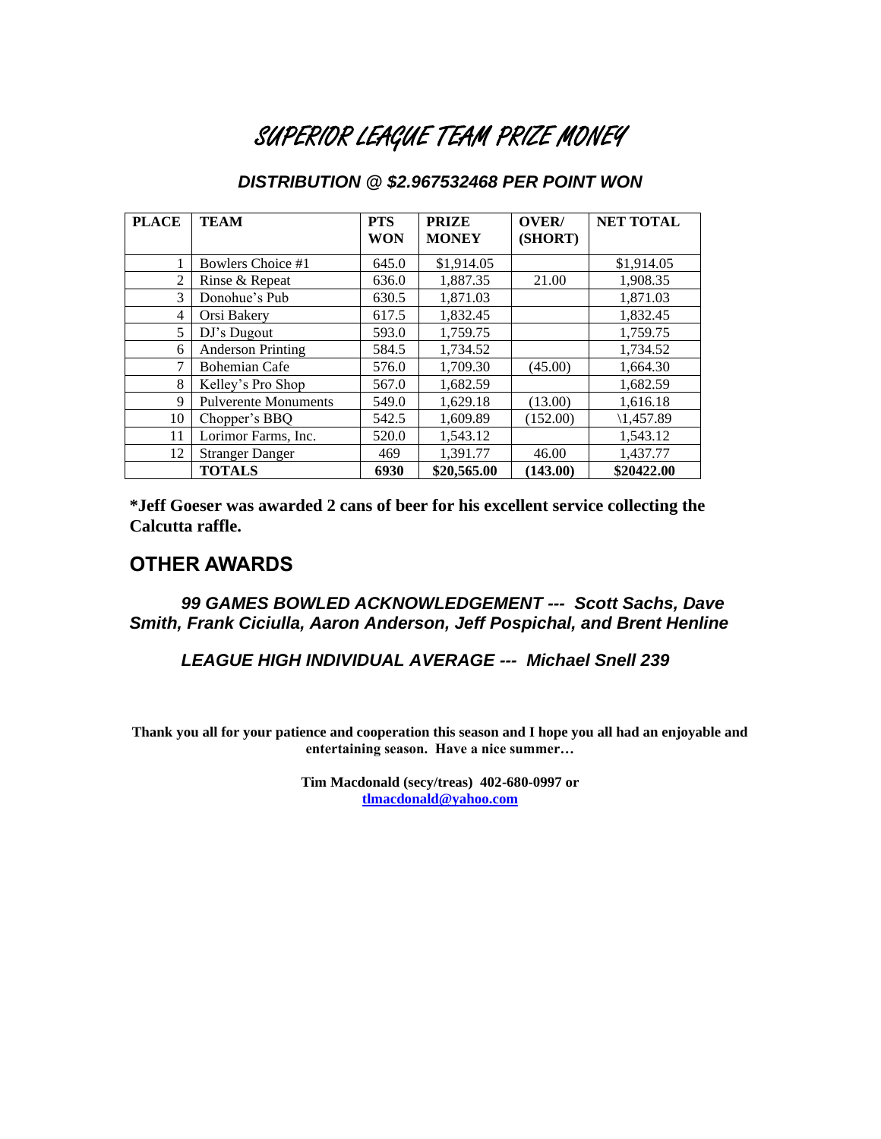## SUPERIOR LEAGUE TEAM PRIZE MONEY

| <b>PLACE</b>   | <b>TEAM</b>                 | <b>PTS</b><br><b>WON</b> | <b>PRIZE</b><br><b>MONEY</b> | OVER/<br>(SHORT) | <b>NET TOTAL</b>     |
|----------------|-----------------------------|--------------------------|------------------------------|------------------|----------------------|
| 1              | Bowlers Choice #1           | 645.0                    | \$1,914.05                   |                  | \$1,914.05           |
| $\overline{2}$ | Rinse & Repeat              | 636.0                    | 1,887.35                     | 21.00            | 1,908.35             |
| 3              | Donohue's Pub               | 630.5                    | 1,871.03                     |                  | 1,871.03             |
| 4              | Orsi Bakery                 | 617.5                    | 1,832.45                     |                  | 1,832.45             |
| 5              | DJ's Dugout                 | 593.0                    | 1,759.75                     |                  | 1,759.75             |
| 6              | <b>Anderson Printing</b>    | 584.5                    | 1,734.52                     |                  | 1,734.52             |
| 7              | <b>Bohemian Cafe</b>        | 576.0                    | 1,709.30                     | (45.00)          | 1,664.30             |
| 8              | Kelley's Pro Shop           | 567.0                    | 1,682.59                     |                  | 1,682.59             |
| 9              | <b>Pulverente Monuments</b> | 549.0                    | 1,629.18                     | (13.00)          | 1,616.18             |
| 10             | Chopper's BBQ               | 542.5                    | 1,609.89                     | (152.00)         | $\setminus$ 1,457.89 |
| 11             | Lorimor Farms, Inc.         | 520.0                    | 1,543.12                     |                  | 1.543.12             |
| 12             | <b>Stranger Danger</b>      | 469                      | 1,391.77                     | 46.00            | 1,437.77             |
|                | <b>TOTALS</b>               | 6930                     | \$20,565.00                  | (143.00)         | \$20422.00           |

### *DISTRIBUTION @ \$2.967532468 PER POINT WON*

**\*Jeff Goeser was awarded 2 cans of beer for his excellent service collecting the Calcutta raffle.**

### **OTHER AWARDS**

*99 GAMES BOWLED ACKNOWLEDGEMENT --- Scott Sachs, Dave Smith, Frank Ciciulla, Aaron Anderson, Jeff Pospichal, and Brent Henline*

*LEAGUE HIGH INDIVIDUAL AVERAGE --- Michael Snell 239*

**Thank you all for your patience and cooperation this season and I hope you all had an enjoyable and entertaining season. Have a nice summer…**

> **Tim Macdonald (secy/treas) 402-680-0997 or [tlmacdonald@yahoo.com](mailto:tlmacdonald@yahoo.com)**